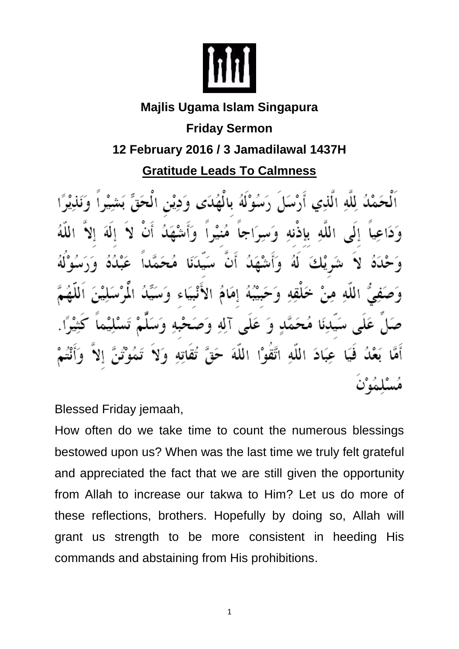

#### **Majlis Ugama Islam Singapura**

**Friday Sermon**

### **12 February 2016 / 3 Jamadilawal 1437H**

## **Gratitude Leads To Calmness**

لله الذي بإذنه الله هندا ه أاحمأ ى صَبِّيْبُهُ إِمَامُ الأَنْهِ الله خلقه ساء عَلَّمي آلِهِ وَصَـَـ ۇ عَبَادَ اللَّهُ اتَّقَوْا اللَّهَ

Blessed Friday jemaah,

How often do we take time to count the numerous blessings bestowed upon us? When was the last time we truly felt grateful and appreciated the fact that we are still given the opportunity from Allah to increase our takwa to Him? Let us do more of these reflections, brothers. Hopefully by doing so, Allah will grant us strength to be more consistent in heeding His commands and abstaining from His prohibitions.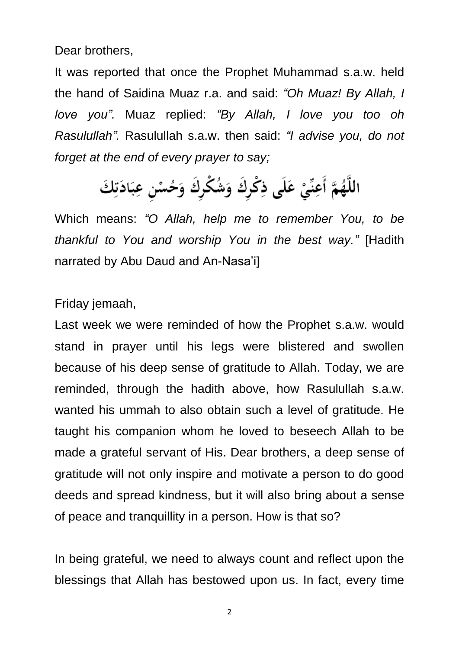Dear brothers,

It was reported that once the Prophet Muhammad s.a.w. held the hand of Saidina Muaz r.a. and said: *"Oh Muaz! By Allah, I love you".* Muaz replied: *"By Allah, I love you too oh Rasulullah".* Rasulullah s.a.w. then said: *"I advise you, do not forget at the end of every prayer to say;*

# اللَّهُمَّ أَعِنِّيْ عَلَى ذِكْرِكَ وَشُكْرِكَ وَحُسْنِ عِبَادَتِكَ

Which means: *"O Allah, help me to remember You, to be thankful to You and worship You in the best way."* [Hadith narrated by Abu Daud and An-Nasa'i]

#### Friday jemaah,

Last week we were reminded of how the Prophet s.a.w. would stand in prayer until his legs were blistered and swollen because of his deep sense of gratitude to Allah. Today, we are reminded, through the hadith above, how Rasulullah s.a.w. wanted his ummah to also obtain such a level of gratitude. He taught his companion whom he loved to beseech Allah to be made a grateful servant of His. Dear brothers, a deep sense of gratitude will not only inspire and motivate a person to do good deeds and spread kindness, but it will also bring about a sense of peace and tranquillity in a person. How is that so?

In being grateful, we need to always count and reflect upon the blessings that Allah has bestowed upon us. In fact, every time

2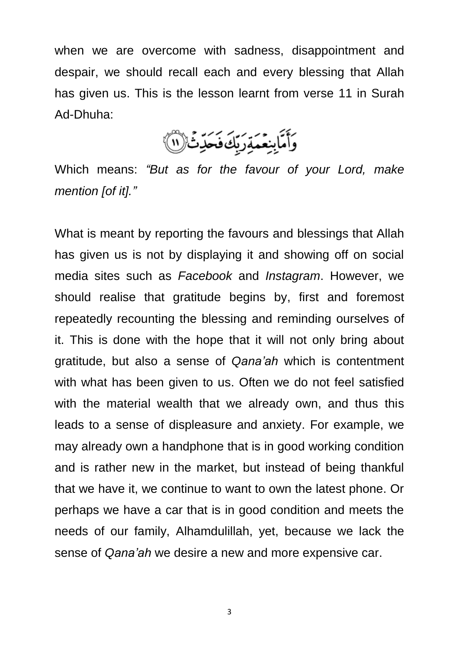when we are overcome with sadness, disappointment and despair, we should recall each and every blessing that Allah has given us. This is the lesson learnt from verse 11 in Surah Ad-Dhuha:

وَأَمَّابِنِعَمَةِرَبِّكَ فَحَدِّثٌ (١١)

Which means: *"But as for the favour of your Lord, make mention [of it]."*

What is meant by reporting the favours and blessings that Allah has given us is not by displaying it and showing off on social media sites such as *Facebook* and *Instagram*. However, we should realise that gratitude begins by, first and foremost repeatedly recounting the blessing and reminding ourselves of it. This is done with the hope that it will not only bring about gratitude, but also a sense of *Qana'ah* which is contentment with what has been given to us. Often we do not feel satisfied with the material wealth that we already own, and thus this leads to a sense of displeasure and anxiety. For example, we may already own a handphone that is in good working condition and is rather new in the market, but instead of being thankful that we have it, we continue to want to own the latest phone. Or perhaps we have a car that is in good condition and meets the needs of our family, Alhamdulillah, yet, because we lack the sense of *Qana'ah* we desire a new and more expensive car.

3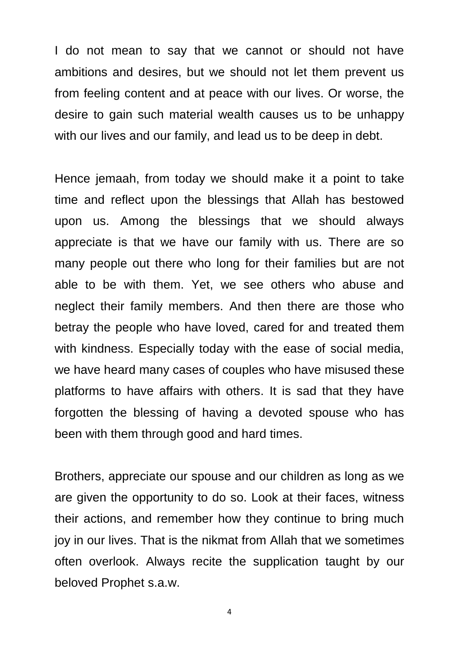I do not mean to say that we cannot or should not have ambitions and desires, but we should not let them prevent us from feeling content and at peace with our lives. Or worse, the desire to gain such material wealth causes us to be unhappy with our lives and our family, and lead us to be deep in debt.

Hence jemaah, from today we should make it a point to take time and reflect upon the blessings that Allah has bestowed upon us. Among the blessings that we should always appreciate is that we have our family with us. There are so many people out there who long for their families but are not able to be with them. Yet, we see others who abuse and neglect their family members. And then there are those who betray the people who have loved, cared for and treated them with kindness. Especially today with the ease of social media, we have heard many cases of couples who have misused these platforms to have affairs with others. It is sad that they have forgotten the blessing of having a devoted spouse who has been with them through good and hard times.

Brothers, appreciate our spouse and our children as long as we are given the opportunity to do so. Look at their faces, witness their actions, and remember how they continue to bring much joy in our lives. That is the nikmat from Allah that we sometimes often overlook. Always recite the supplication taught by our beloved Prophet s.a.w.

4